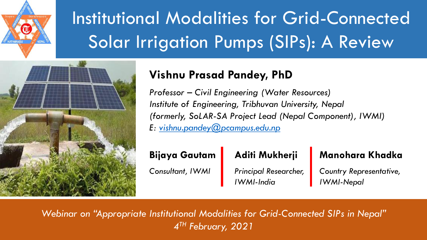

# Institutional Modalities for Grid-Connected Solar Irrigation Pumps (SIPs): A Review



## **Vishnu Prasad Pandey, PhD**

*Professor – Civil Engineering (Water Resources) Institute of Engineering, Tribhuvan University, Nepal (formerly, SoLAR-SA Project Lead (Nepal Component), IWMI) E: [vishnu.pandey@pcampus.edu.np](mailto:vishnu.pandey@pcampus.edu.np)*

#### **Bijaya Gautam**

*Consultant, IWMI*

### **Aditi Mukherji**

*Principal Researcher, IWMI-India*

#### **Manohara Khadka**

*Country Representative, IWMI-Nepal*

*Webinar on "Appropriate Institutional Modalities for Grid-Connected SIPs in Nepal" 4 TH February, 2021*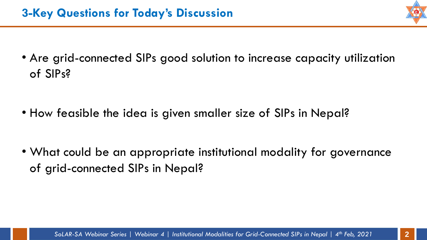• Are grid-connected SIPs good solution to increase capacity utilization of SIPs?

• How feasible the idea is given smaller size of SIPs in Nepal?

• What could be an appropriate institutional modality for governance of grid-connected SIPs in Nepal?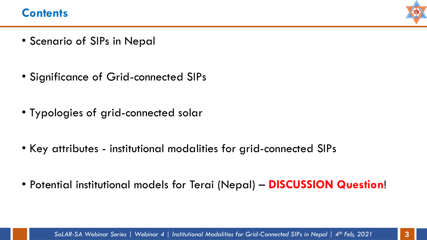#### **Contents**



- Scenario of SIPs in Nepal
- Significance of Grid-connected SIPs
- Typologies of grid-connected solar
- Key attributes institutional modalities for grid-connected SIPs
- Potential institutional models for Terai (Nepal) **DISCUSSION Question**!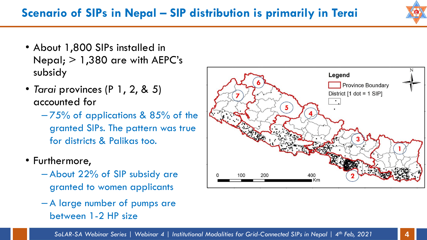## **Scenario of SIPs in Nepal – SIP distribution is primarily in Terai**

- About 1,800 SIPs installed in Nepal;  $> 1,380$  are with AEPC's subsidy
- *Tarai* provinces (P 1, 2, & 5) accounted for
	- 75% of applications & 85% of the granted SIPs. The pattern was true for districts & Palikas too.
- Furthermore,
	- About 22% of SIP subsidy are granted to women applicants
	- A large number of pumps are between 1-2 HP size



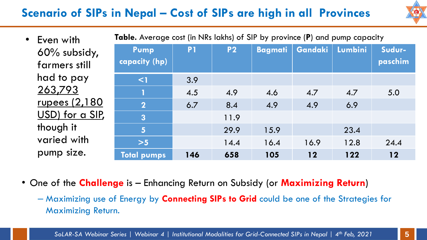# **Scenario of SIPs in Nepal – Cost of SIPs are high in all Provinces**



| • Even with          | Table. Average cost (in NRs lakhs) of SIP by province (P) and pump capacity |                |           |      |                         |      |         |  |
|----------------------|-----------------------------------------------------------------------------|----------------|-----------|------|-------------------------|------|---------|--|
| 60% subsidy,         | Pump                                                                        | P <sub>1</sub> | <b>P2</b> |      | Bagmati Gandaki Lumbini |      | Sudur-  |  |
| farmers still        | capacity (hp)                                                               |                |           |      |                         |      | paschim |  |
| had to pay           | $\leq$                                                                      | 3.9            |           |      |                         |      |         |  |
| 263,793              | 1                                                                           | 4.5            | 4.9       | 4.6  | 4.7                     | 4.7  | 5.0     |  |
| <u>rupees</u> (2,180 | $\overline{\mathbf{2}}$                                                     | 6.7            | 8.4       | 4.9  | 4.9                     | 6.9  |         |  |
| USD) for a SIP,      | $\overline{3}$                                                              |                | 11.9      |      |                         |      |         |  |
| though it            | $5\phantom{1}$                                                              |                | 29.9      | 15.9 |                         | 23.4 |         |  |
| varied with          | $>5$                                                                        |                | 14.4      | 16.4 | 16.9                    | 12.8 | 24.4    |  |
| pump size.           | Total pumps                                                                 | 146            | 658       | 105  | $12$                    | 122  | 12      |  |

- One of the **Challenge** is Enhancing Return on Subsidy (or **Maximizing Return**)
	- Maximizing use of Energy by **Connecting SIPs to Grid** could be one of the Strategies for Maximizing Return.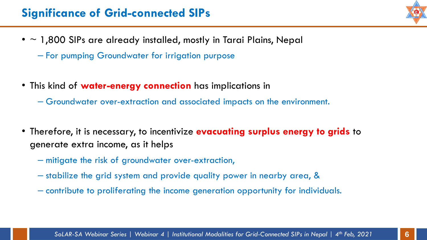## **Significance of Grid-connected SIPs**

- $\cdot$  ~ 1,800 SIPs are already installed, mostly in Tarai Plains, Nepal
	- For pumping Groundwater for irrigation purpose
- This kind of **water-energy connection** has implications in
	- Groundwater over-extraction and associated impacts on the environment.
- Therefore, it is necessary, to incentivize **evacuating surplus energy to grids** to generate extra income, as it helps
	- mitigate the risk of groundwater over-extraction,
	- stabilize the grid system and provide quality power in nearby area, &
	- contribute to proliferating the income generation opportunity for individuals.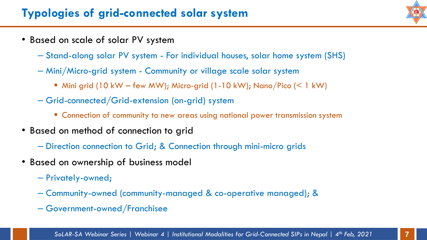- Based on scale of solar PV system
	- Stand-along solar PV system For individual houses, solar home system (SHS)
	- Mini/Micro-grid system Community or village scale solar system
		- $\blacksquare$  Mini grid (10 kW few MW); Micro-grid (1-10 kW); Nano/Pico (< 1 kW)
	- Grid-connected/Grid-extension (on-grid) system
		- **E** Connection of community to new areas using national power transmission system
- Based on method of connection to grid
	- Direction connection to Grid; & Connection through mini-micro grids
- Based on ownership of business model
	- Privately-owned;
	- Community-owned (community-managed & co-operative managed); &
	- Government-owned/Franchisee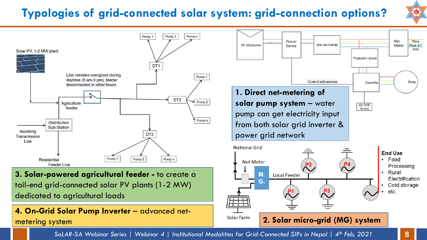# **Typologies of grid-connected solar system: grid-connection options?**





*SoLAR-SA Webinar Series | Webinar 4 | Institutional Modalities for Grid-Connected SIPs in Nepal | 4th Feb, 2021* **8**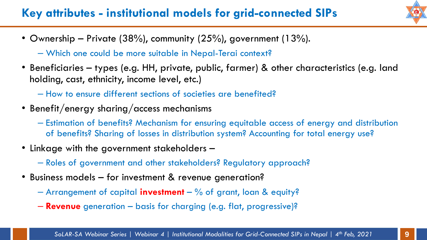# **Key attributes - institutional models for grid-connected SIPs**



- Ownership Private (38%), community (25%), government (13%).
	- Which one could be more suitable in Nepal-Terai context?
- Beneficiaries types (e.g. HH, private, public, farmer) & other characteristics (e.g. land holding, cast, ethnicity, income level, etc.)
	- How to ensure different sections of societies are benefited?
- Benefit/energy sharing/access mechanisms
	- Estimation of benefits? Mechanism for ensuring equitable access of energy and distribution of benefits? Sharing of losses in distribution system? Accounting for total energy use?
- Linkage with the government stakeholders
	- Roles of government and other stakeholders? Regulatory approach?
- Business models for investment & revenue generation?
	- Arrangement of capital **investment** % of grant, loan & equity?
	- **Revenue** generation basis for charging (e.g. flat, progressive)?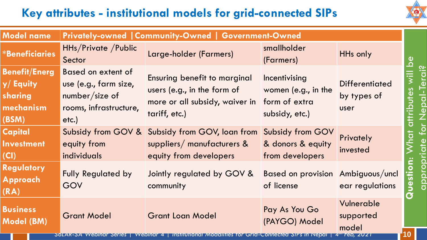# **Key attributes - institutional models for grid-connected SIPs**



| <b>Model name</b>                                                 | Privately-owned   Community-Owned   Government-Owned                                              |                                                                                                                              |                                                          |                                                 |                                  |  |  |
|-------------------------------------------------------------------|---------------------------------------------------------------------------------------------------|------------------------------------------------------------------------------------------------------------------------------|----------------------------------------------------------|-------------------------------------------------|----------------------------------|--|--|
| <b>*Beneficiaries</b>                                             | HHs/Private / Public<br>Sector                                                                    | Large-holder (Farmers)                                                                                                       | smallholder<br>(Farmers)                                 | HHs only                                        | $\overline{\mathsf{S}}$          |  |  |
| <b>Benefit/Energ</b><br>y/Equity<br>sharing<br>mechanism<br>(BSM) | Based on extent of<br>use (e.g., farm size,<br>$number/size$ of<br>rooms, infrastructure,<br>etc. | Ensuring benefit to marginal<br>users (e.g., in the form of<br>more or all subsidy, waiver in form of extra<br>tariff, etc.) | Incentivising<br>women (e.g., in the<br>subsidy, etc.)   | <b>Differentiated</b><br>by types of<br>user    | erai?<br>utes<br>Nepal<br>attrib |  |  |
| <b>Capital</b><br><b>Investment</b><br>(CI)                       | Subsidy from GOV &<br>equity from<br>individuals                                                  | Subsidy from GOV, Ioan from<br>suppliers/ manufacturers $\&$<br>equity from developers                                       | Subsidy from GOV<br>& donors & equity<br>from developers | Privately<br>invested                           | for                              |  |  |
| <b>Regulatory</b><br>Approach<br>(RA)                             | <b>Fully Regulated by</b><br>GOV                                                                  | Jointly regulated by GOV &<br>community                                                                                      | Based on provision Ambiguous/uncl<br>of license          | ear regulations                                 | appropriate<br>Questi            |  |  |
| <b>Business</b><br><b>Model (BM)</b>                              | <b>Grant Model</b><br><b>SOLAR-SA VVEDINAL SELIES</b>                                             | <b>Grant Loan Model</b><br><i>vvepinar 4</i><br><b>INSTITUTIONAL MOQUIITIES TO</b>                                           | Pay As You Go<br>(PAYGO) Model<br><i>INepal</i>          | Vulnerable<br>supported<br>model<br>' reb, 2021 |                                  |  |  |